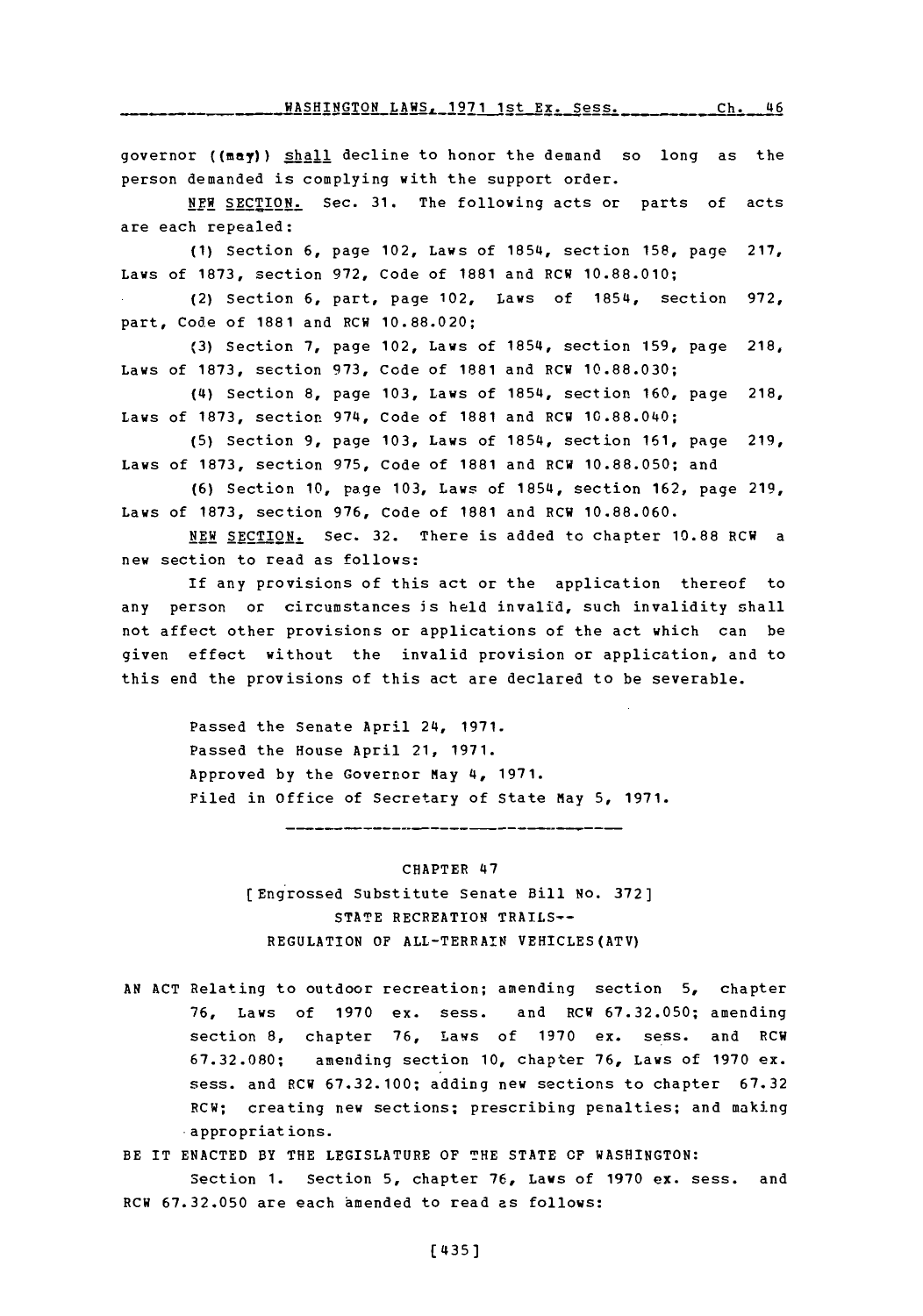**WASHINGTON LAWS, 1971 1st Ex. Sess. \_\_\_ \_\_\_\_ Ch. 46** 

governor  $(\text{max})$ ) shall decline to honor the demand so long as the person demanded is complying with the support order.

**NEW SECTION.** Sec. **31.** The following acts or parts of acts are each repealed:

**(1)** Section **6,** page 102, Laws of 1854, section **158,** page **217,** Laws of **1873,** section **972,** Code of **1881** and RCW **10.88.010;**

(2) Section **6,** part, page 102, Laws of 1854, section **972,** part, Code of **1881** and RCW **10.88.020;**

**(3)** Section **7,** page 102, Laws of 1854, section **159,** page **218,** Laws of **1873,** section **973,** Code of **1881** and RCW **10.88.030;**

(4) Section **8,** page **103,** Laws of 1854, section **160,** page 218, Laws of **1873,** section 974, Code of **1881** and RCW 10.88.040;

**(5)** Section **9,** page **103,** Laws of 1854, section **161,** page **219,** Laws of **1873,** section **975,** code of **1881** and RCW **10.88.050;** and

**(6)** Section **10,** page **103,** Laws of 1854, section **162,** page **219,** Laws of **1873,** section **976,** Code of **1881** and RCW **10.88.060.**

**NEW** SECTION. Sec. **32.** There is added to chapter **10.88** RCW a new section to read as follows:

If any provisions of this act or the application thereof to any person or circumstances is held invalid, such invalidity shall not affect other provisions or applications of the act which can be given effect without the invalid provision or application, and to this end the provisions of this act are declared to be severable.

> Passed the Senate April 24, **1971.** Passed the House April 21, **1971.** Approved **by** the Governor May 4, **1971.** Filed in Office of Secretary of State May **5, 1971.**

#### CHAPTER 47

--------------------

(Engrossed Substitute Senate Bill **No. 372] STATE** RECREATION TRAILS-- **REGULATION** OF ALL-TERRAIN VEHICLES(ATV)

**AN ACT** Relating to outdoor recreation; amending section **5,** chapter **76,** Laws of **1970** ex. sess. and RCW **67.32.050;** amending section **8,** chapter **76,** Lavs of **1970** ex. sess. and RCW **67.32.080;** amending section **10,** chapter **76,** Laws of **1970** ex. sess. and RCW **67.32.100;** adding new sections to chapter **67.32** RCW; creating new sections; prescribing penalties; and making appropriations.

BE IT **ENACTED** BY THE LEGISLATURE OF **THE STATE CF WASHINGTON:** Section **1.** Section **5,** chapter **76,** Laws of **1970** ex. sess. and RCW **67.32.050** are each amended to read as follows: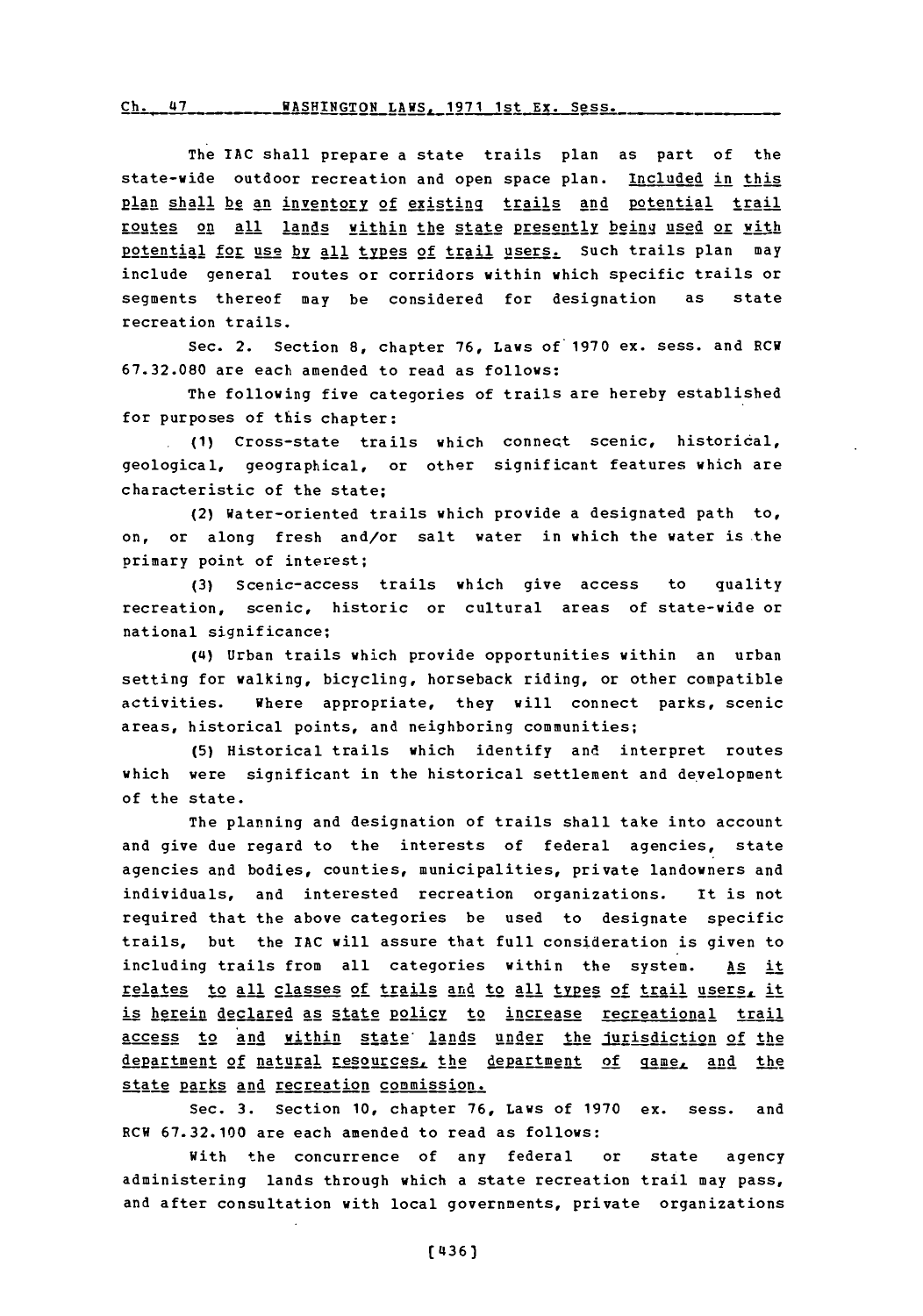# <u>ch. 47 \_ \_ \_ \_ \_ \_ MASHINGTON LAWS, 1971 1st Ex. Se</u>

The **IAC** shall prepare a state trails plan as part of the state-wide outdoor recreation and open space plan. Included in this **plan** shall be2 an inventory of exi sting trails and Roten **ill1** trail routes on all lands within the state presently being used or with potential for use by all types of trail users. Such trails plan may include general routes or corridors within which specific trails or segments thereof may be considered for designation as state recreation trails.

Sec. 2. Section **8,** chapter **76,** Laws of **1970** ex. sess. and RCH **67.32.080** are each amended to read as follows:

The following five categories of trails are hereby established for purposes of this chapter:

**.(1)** Cross-state trails which connect scenic, historical, geological, geographical, or other significant features which are characteristic of the state;

(2) Water-oriented trails which provide a designated path to, on, or along fresh and/or salt water in which the water is the primary point of interest;

**(3)** Scenic-access trails which give access to quality recreation, scenic, historic or cultural areas of state-wide or national significance;

**(14)** Urban trails which provide opportunities within an urban setting for walking, bicycling, horseback riding, or other compatible activities. Where appropriate, they will connect parks, scenic areas, historical points, and neighboring communities;

**(5)** Historical trails which identify and interpret routes which were significant in the historical settlement and development of the state.

The planning and designation of trails shall take into account and give due regard to the interests of federal agencies, state agencies and bodies, counties, municipalities, private landowners and individuals, and interested recreation organizations. It is not required that the above categories be used to designate specific trails, but the IAC will assure that full consideration is given to including trails from all categories within the system. As it relates to all classes of trails and to all types of trail users, it is herein declared as state policy to increase recreational trail access to and within state lands under the jurisdiction of the department of natural resources, the department of game, and the state parks and recreation commission.

Sec. **3.** Section **10,** chapter **76,** Laws of **1970** ex. sess. and RCW **67.32.100** are each amended to read as follows:

With the concurrence of any federal or state agency administering lands through which a state recreation trail may pass, and after consultation with local governments, private organizations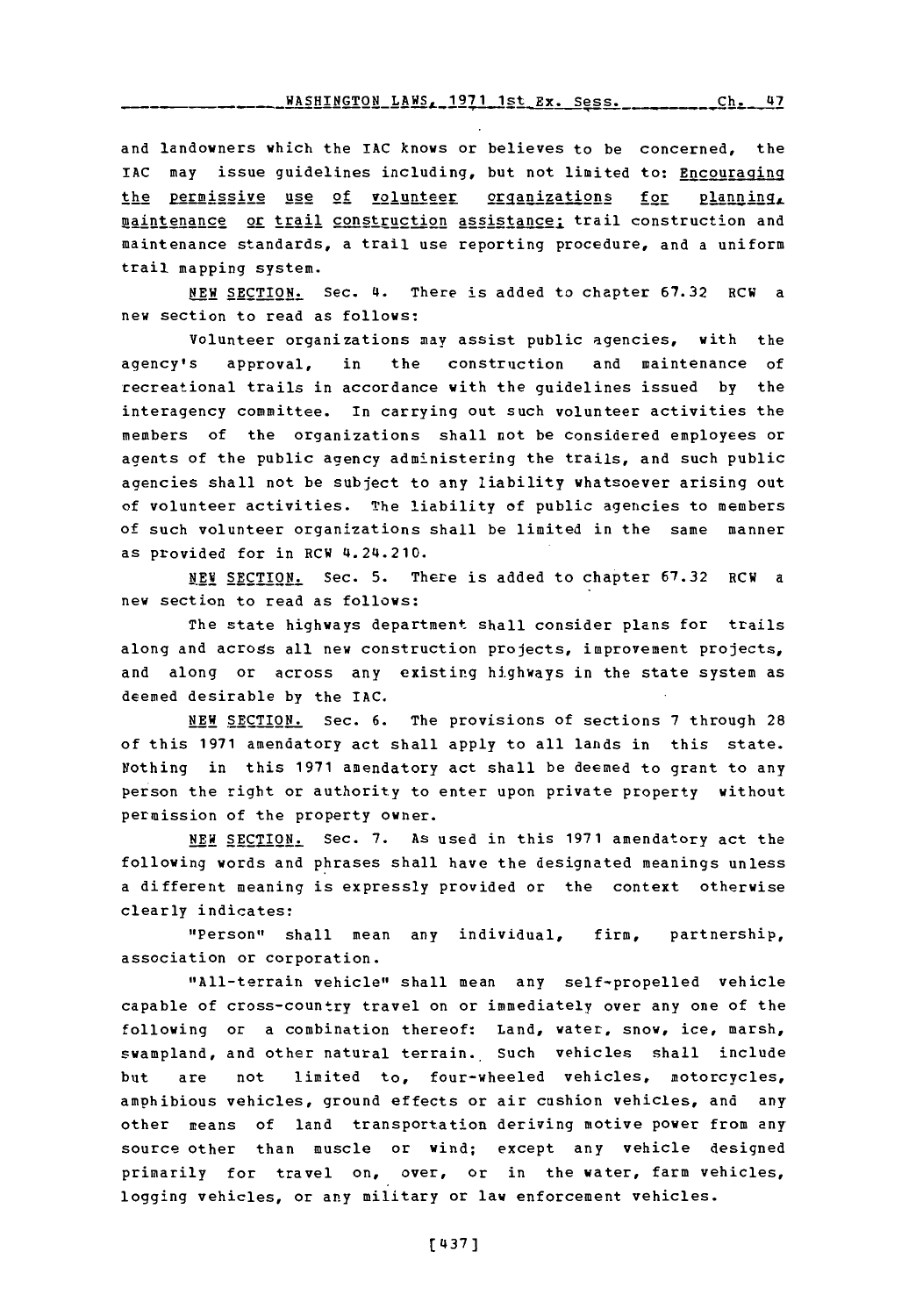and landowners which the **IAC** knows or believes to be concerned, the IAC may issue guidelines including, but not limited to: Encouraging the permissive use of volunteer organizations for planning, maintenance or trail construction assistance; trail construction and maintenance standards, a trail use reporting procedure, and a uniform trail mapping system.

**NEW SECTION.** Sec. 4. There is added to chapter **67.32** RCW a new section to read as follows:

Volunteer organizations may assist public agencies, with the agency's approval, in the construction and maintenance of recreational trails in accordance with the guidelines issued **by** the interagency committee. In carrying out such volunteer activities the members of the organizations shall not be considered employees or agents of the public agency administering the trails, and such public agencies shall not be subject to any liability whatsoever arising out of volunteer activities. The liability of public agencies to members of such volunteer organizations shall be limited in the same manner as provided for in RCW 4.24.210.

**NEW** SECTION. Sec. **5.** There is added to chapter **67.32** RCW a new section to read as follows:

The state highways department shall consider plans for trails along and across all new construction projects, improvement projects, and along or across any existing highways in the state system as deemed desirable **by** the **IAC.**

**NEW** SECTION. Sec. **6.** The provisions of sections **7** through **28** of this **1971** amendatory act shall apply to all lands in this state. Nothing in this **1971** amendatory act shall be deemed to grant to any person the right or authority to enter upon private property without permission of the property owner.

**NEW** SECTION. Sec. **7.** As used in this **1971** amendatory act the following words and phrases shall have the designated meanings unless a different meaning is expressly provided or the context otherwise clearly indicates:

"Person" shall mean any individual, firm, partnership, association or corporation.

"All-terrain vehicle" shall mean any self-propelled vehicle capable of cross-country travel on or immediately over any one of the following or a combination thereof: Land, water, snow, ice, marsh, swampland, and other natural terrain. Such vehicles shall include but are not limited to, four-wheeled vehicles, motorcycles, amphibious vehicles, ground effects or air cushion vehicles, and any other means of land transportation deriving motive power from any source other than muscle or wind; except any vehicle designed primarily for travel on, over, or in the water, farm vehicles, logging vehicles, or any military or law enforcement vehicles.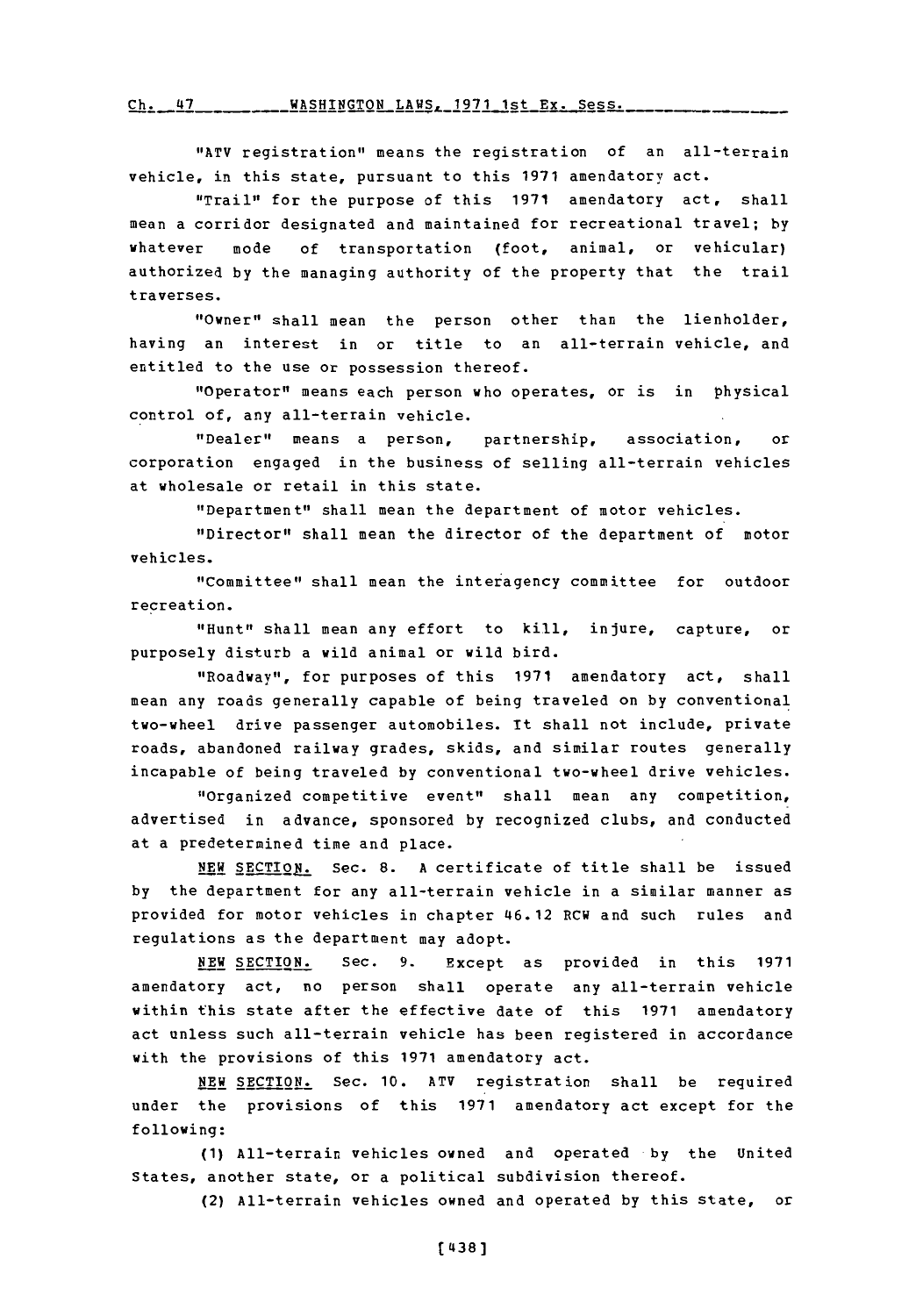r.,. **I~.7 u 0.17 - - -------** *VA CUT.IrMAXI* **- - - --** T **%we ------ 10-71 -1 -s- + V x <sup>C</sup>**

"1ATY registration" means the registration of an all-terrain vehicle, in this state, pursuant to this **1971** amendatory act.

"Trail" for the purpose of this **1971** amendatory act, shall mean a corridor designated and maintained for recreational travel; **by** whatever mode of transportation (foot, animal, or vehicular) authorized **by** the managing authority of the property that the trail traverses.

"Owner" shall mean the person other than the lienholder, having an interest in or title to an all-terrain vehicle, and entitled to the use or possession thereof.

"Operator" means each person who operates, or is in physical control of, any all-terrain vehicle.

"Dealer" means a person, partnership, association, or corporation engaged in the business of selling all-terrain vehicles at wholesale or retail in this state.

"Department" shall mean the department of motor vehicles.

"Director" shall mean the director of the department of motor vehicles.

"Committee" shall mean the interagency committee for outdoor recreation.

"Hunt" shall mean any effort to kill, injure, capture, or purposely disturb a wild animal or wild bird.

"Roadway", for purposes of this **1971** amendatory act, shall mean any roads generally capable of being traveled on **by** conventional two-wheel drive passenger automobiles. it shall not include, private roads, abandoned railway grades, skids, and similar routes generally incapable of being traveled **by** conventional two-wheel drive vehicles.

"Organized competitive event" shall mean any competition, advertised in advance, sponsored **by** recognized clubs, and conducted at a predetermined time and place.

**NEW** SECTION. Sec. **8. A** certificate of title shall be issued **by** the department for any all-terrain vehicle in a similar manner as provided for motor vehicles in chapter 46.12 RCW and such rules and regulations as the department may adopt.

**NEW SECTION.** Sec. **9.** Except as provided in this **1971** amendatory act, no person shall operate any all-terrain vehicle within this state after the effective date of this **1971** amendatory act unless such all-terrain vehicle has been registered in accordance with the provisions of this **1971** amendatory act.

**NEW SECTION.** Sec. **10.** ATV registration shall be required under the provisions of this **1971** amendatory act except for the following:

**(1)** All-terrain vehicles owned and operated **by** the United States, another state, or a political subdivision thereof.

(2) All-terrain vehicles owned and operated **by** this state, or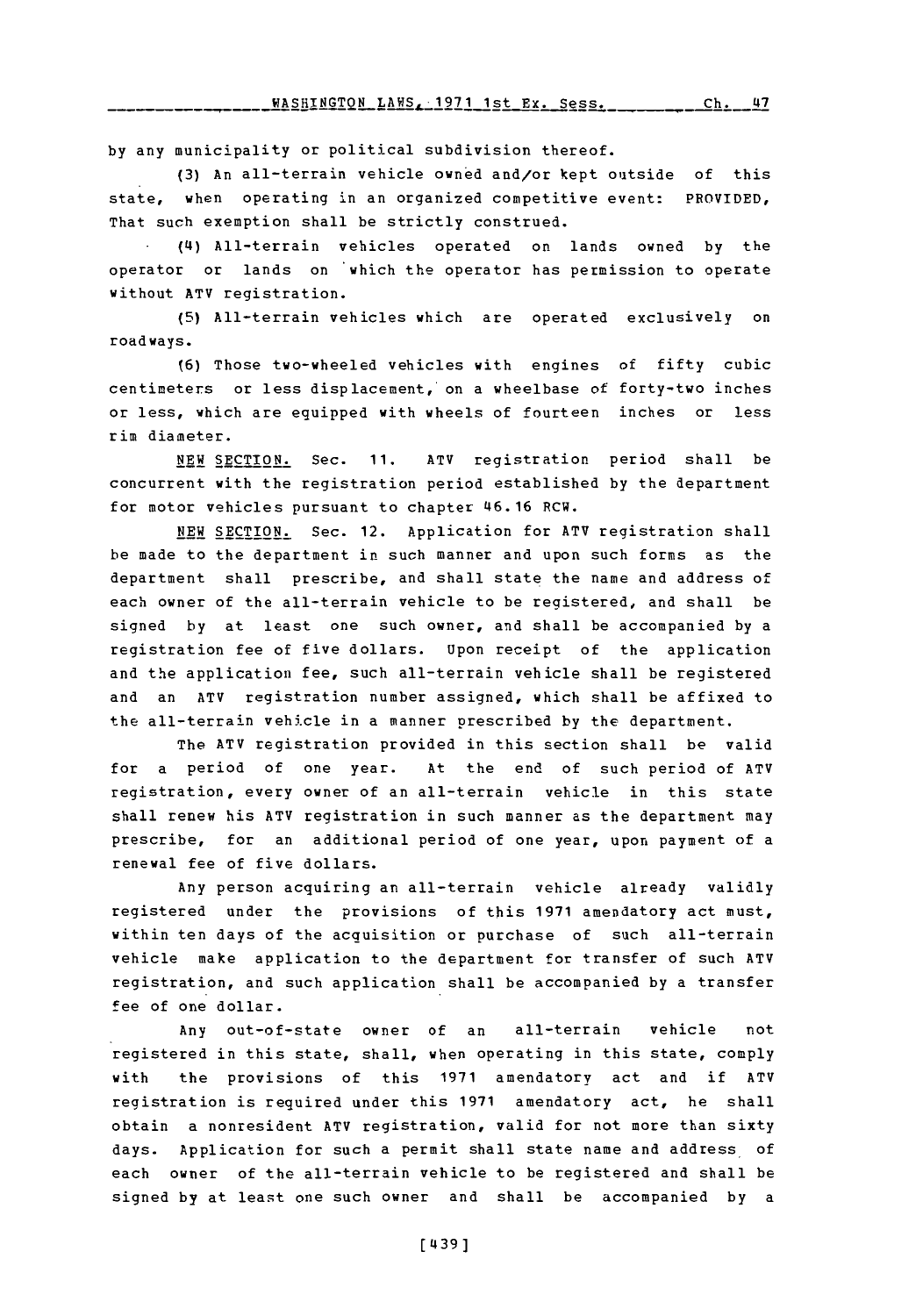WASHINGTON LAWS, 1971 1st Ex. Sess. Ch. 47

**by** any municipality or political subdivision thereof.

**(3)** An all-terrain vehicle owned and/or kept outside of this state, when operating in an organized competitive event: PROVIDED, That such exemption shall be strictly construed.

**(14)** All-terrain vehicles operated on lands owned **by** the operator or lands on which the operator has permission to operate without ATV registration.

**(5)** All-terrain vehicles which are operated exclusively on roadways.

**(6)** Those two-wheeled vehicles with engines of fifty cubic centimeters or less displacement, on a wheelbase of forty-two inches or less, which are equipped with wheels of fourteen inches or less rim diameter.

**NEW SECTION.** Sec. **11.** ATV registration period shall be concurrent with the registration period established **by** the department for motor vehicles pursuant to chapter 46.16 RCW.

NEW SECTION. Sec. 12. Application for ATV registration shall be made to the department in such manner and upon such forms as the department shall prescribe, and shall state the name and address of each owner of the all-terrain vehicle to be registered, and shall be signed **by** at least one such owner, and shall be accompanied **by** a registration fee of five dollars. Upon receipt of the application and the application fee, such all-terrain vehicle shall be registered and an ATV registration number assigned, which shall be affixed to the all-terrain vehicle in a manner prescribed **by** the department.

The ATV registration provided in this section shall be valid for a period of one year. At the end of such period of ATV registration, every owner of an all-terrain vehicle in this state shall renew his **ATV** registration in such manner as the department may prescribe, for an additional period of one year, upon payment of a renewal fee of five dollars.

Any person acquiring an all-terrain vehicle already validly registered under the provisions of this **1971** amendatory act must, within ten days of the acquisition or purchase of such all-terrain vehicle make application to the department for transfer of such **ATV** registration, and such application shall be accompanied **by** a transfer fee of one dollar.

Any out-of-state owner of an all-terrain vehicle not registered in this state, shall, when operating in this state, comply with the provisions of this **1971** amendatory act and if ATV registration is required under this **1971** amendatory act, he shall obtain a nonresident ATV registration, valid for not more than sixty days. Application for such a permit shall state name and address of each owner of the all-terrain vehicle to be registered and shall be signed **by** at least one such owner and shall be accompanied **by** <sup>a</sup>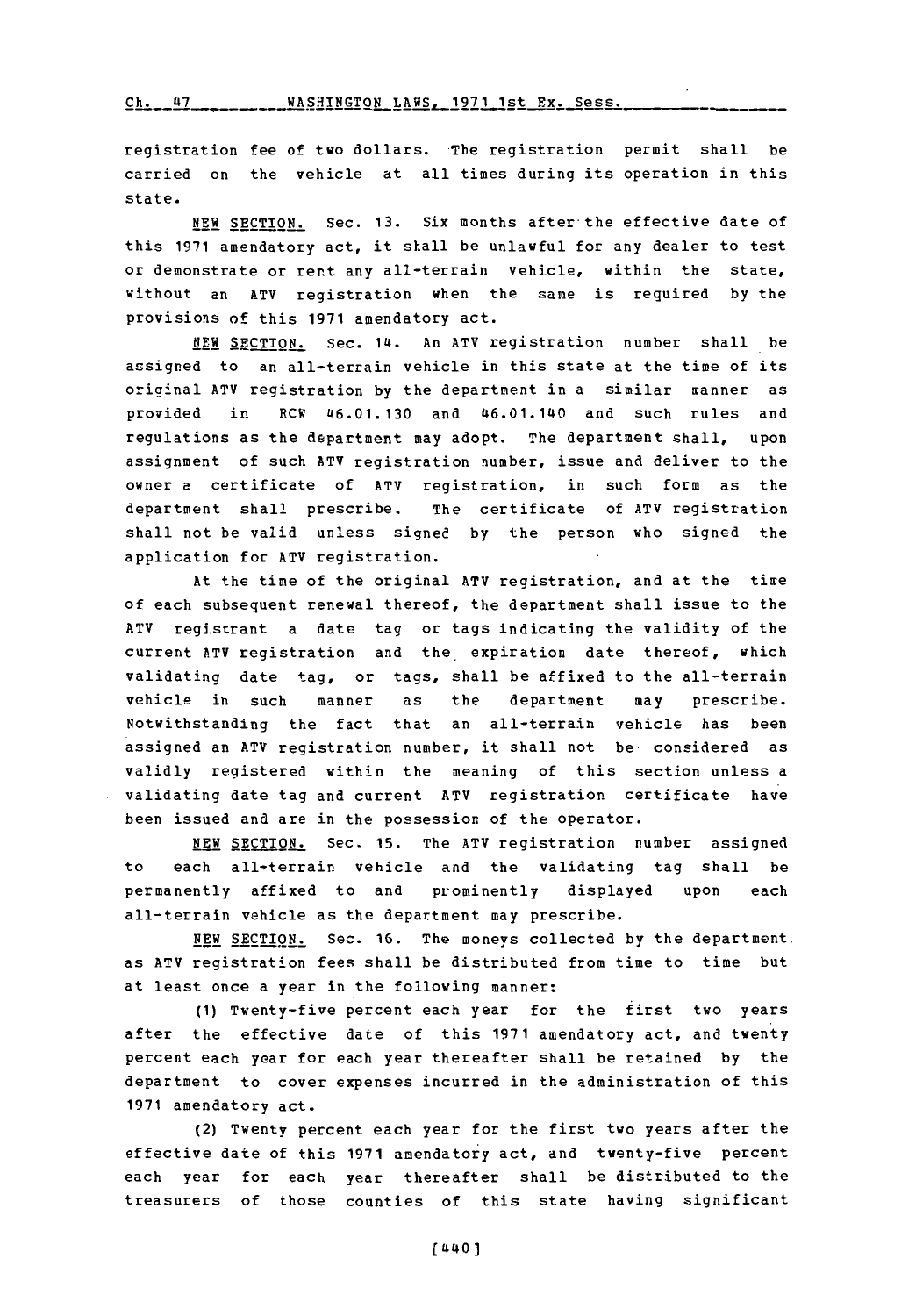Ch. 47 \_\_\_\_\_\_\_\_ WASHINGTON LAWS, 1971 1st Ex. Sess.

registration fee of two dollars. The registration permit shall be carried on the vehicle at all times during its operation in this state.

**NEW SECTION.** Sec. **13.** Six months after-the effective date of this **1971** amendatory act, it shall be unlawful for any dealer to test or demonstrate or rent any all-terrain vehicle, within the state, without an ATV registration when the same is required **by** the provisions of this **1971** amendatory act.

**NEW SECTION.** Sec. 14. An ATV registration number shall be assigned to an all-terrain vehicle in this state at the time of its original **ATV** registration **by** the departm~ent in a similar manner as provided in RCW 46.01.130 and 46.01.140 and such rules and regulations as the department may adopt. The department shall, upon assignment of such ATV registration number, issue and deliver to the owner a certificate of ATV registration, in such form as the department shall prescribe. The certificate of ATV registration shall not be valid unless signed **by** the person who signed the application for ATV registration.

At the time of the original ATV registration, and at the time of each subsequent renewal thereof, the department shall issue to the ATV registrant a date tag or tags indicating the validity of the current ATV registration and the. expiration date thereof, which validating date tag, or tags, shall be affixed to the all-terrain vehicle in such manner as the department may prescribe. Notwithstanding the fact that an all-terrain vehicle has been assigned an ATV registration number, it shall not be considered as validly registered within the meaning of this section unless a validating date tag and current ATV registration certificate have been issued and are in the possession of the operator.

**NEW SECTION.** Sec. **15.** The ATV registration number assigned to each all-terrain vehicle and the validating tag shall be permanently affixed to and prominently displayed upon each all-terrain vehicle as the department may prescribe.

**NEW** SECTION. Sec. **16.** The moneys collected **by** the department. as ATV registration fees shall be distributed from time to time but at least once a year in the following manner:

**(1)** Twenty-five percent each year for the first two years after the effective date of this **1971** amendatory act, and twenty percent each year for each year thereafter shall be retained **by** the department to cover expenses incurred in the administration of this **1971** amendatory act.

(2) Twenty percent each year for the first two years after the effective date of this 1971 amendatory act, and twenty-five percent each year for each year thereafter shall be distributed to the treasurers of those counties of this state having significant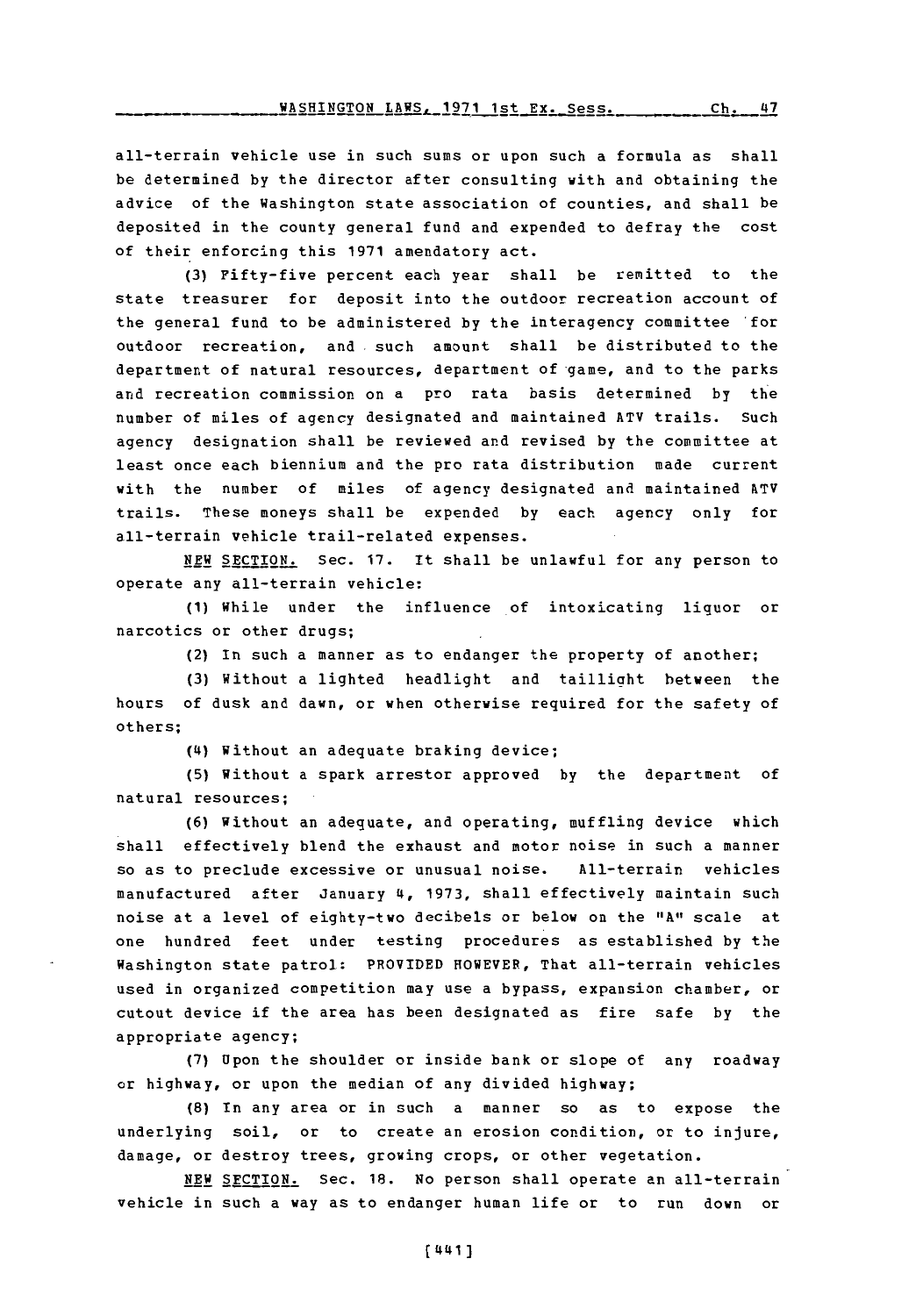all-terrain vehicle use in such sums or upon such a formula as shall be determined **by** the director after consulting with and obtaining the advice of the Washington state association of counties, and shall be deposited in the county general fund and expended to defray the cost of their enforcing this **1971** amendatory act.

**(3)** Fifty-five percent each year shall be remitted to the state treasurer for deposit into the outdoor recreation account of the general fund to be administered **by** the interagency committee 'for outdoor recreation, and such amount shall be distributed to the department of natural resources, department of-game, and to the parks and recreation commission on a pro rata basis determined by the number of miles of agency designated and maintained ATV trails. Such agency designation shall be reviewed and revised **by** the committee at least once each biennium and the pro rata distribution made current with the number of miles of agency designated and maintained ATV trails. These moneys shall be expended **by** each agency only for all-terrain vehicle trail-related expenses.

**NEW SECTION.** Sec. **17.** It shall be unlawful for any person to operate any all-terrain vehicle:

**(1)** While under the influence of intoxicating liquor or narcotics or other drugs;

(2) In such a manner as to endanger the property of another;

**(3)** Without a lighted headlight and taillight between the hours of dusk and dawn, or when otherwise required for the safety of others;

**(4i)** Without an adequate braking device;

**(5)** Without a spark arrestor approved **by** the department **of** natural resources;

**(6)** Without an adequate, and operating, muffling device which shall effectively blend the exhaust and motor noise in such a manner so as to preclude excessive or unusual noise. All-terrain vehicles manufactured after January 4, **1973,** shall effectively maintain such noise at a level of eighty-two decibels or below on the **"All** scale at one hundred feet under testing procedures as established **by** the Washington state patrol: PROVIDED HOWEVER, That all-terrain vehicles used in organized competition may use a bypass, expansion chamber, or cutout device if the area has been designated as fire safe **by** the appropriate agency;

**(7)** Upon the shoulder or inside bank or slope of any roadway or highway, or upon the median of any divided highway;

**(8)** In any area or in such a manner so as to expose the underlying soil, or to create an erosion condition, or to injure, damage, or destroy trees, growing crops, or other vegetation.

**NEW** SECTION. Sec. **18.** No person shall operate an all-terrain vehicle in such a way as to endanger human life or to run down or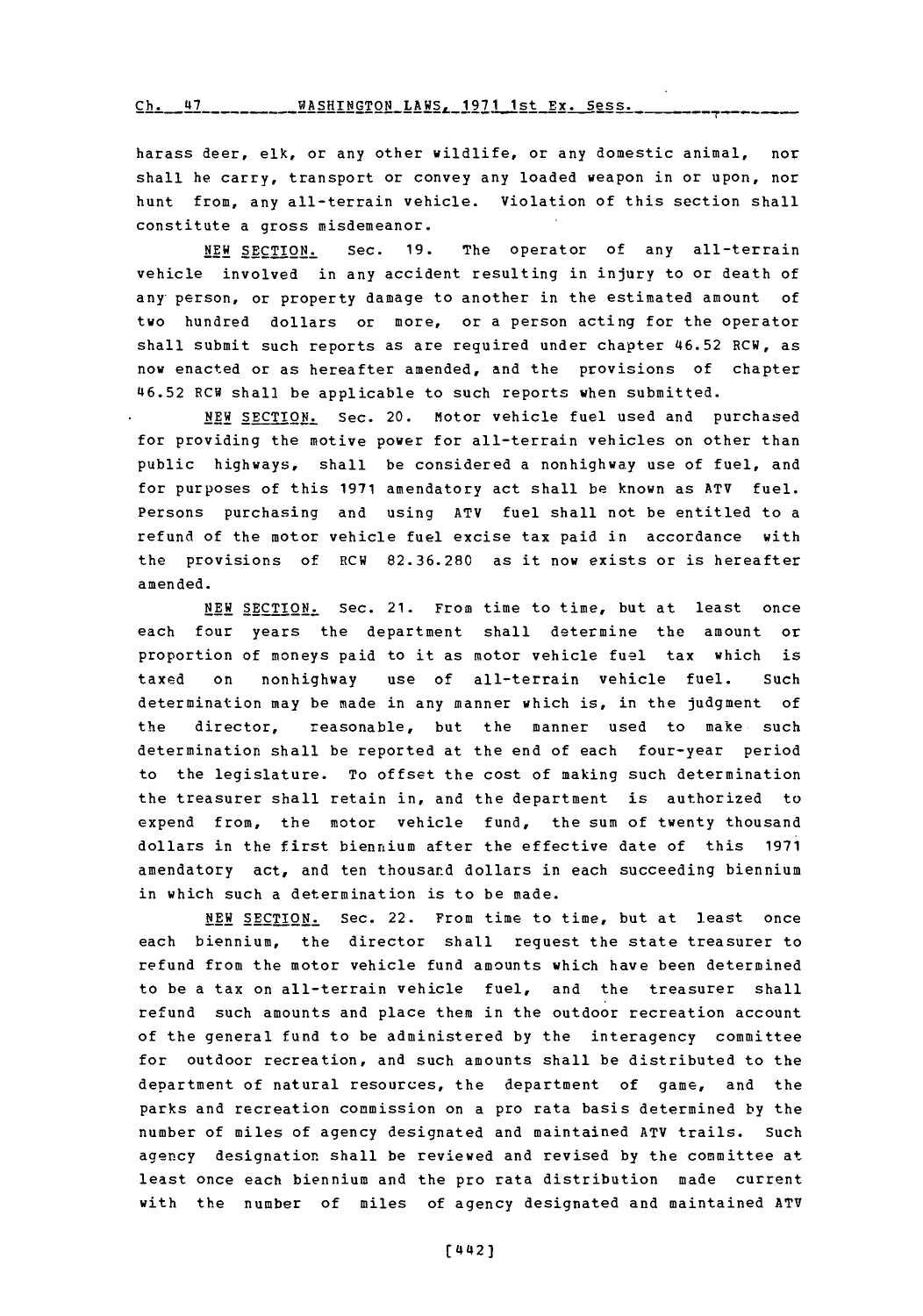## <u>Ch. 47 - - - - - - - WASHINGTON LANS, 1971 1st Ex. Sess.</u>

harass deer, elk, or any other wildlife, or any domestic animal, nor shall he carry, transport or convey any loaded weapon in or upon, nor hunt from, any all-terrain vehicle. Violation of this section shall constitute a gross misdemeanor.

**NEW SECTION.** Sec. **19.** The operator of any all-terrain vehicle involved in any accident resulting in injury to or death of any person, or property damage to another in the estimated amount of two hundred dollars or more, or a person acting for the operator shall submit such reports as are required under chapter 46.52 RCW, as now enacted or as hereafter amended, and the provisions of chapter 46.52 RCW shall be applicable to such reports when submitted.

**NEW SECTION.** Sec. 20. Motor vehicle fuel used and purchased for providing the motive power for all-terrain vehicles on other than public highways, shall be considered a nonhighway use of fuel, and for purposes of this **1971** amendatory act shall be known as ATV fuel. Persons purchasing and using ATV fuel shall not be entitled to a refund of the motor vehicle fuel excise tax paid in accordance with the provisions **of** RCW **82.36.280** as it now exists or is hereafter amended.

**NEW SECTION.** Sec. 21. From time to time, but at least once each four years the department shall determine the amount or proportion of moneys paid to it as motor vehicle fuel tax which is taxed on nonhighway use of all-terrain vehicle fuel. Such determination may be made in any manner which is, in the judgment of the director, reasonable, but the manner used to make such determination shall be reported at the end of each four-year period to the legislature. To offset the cost of making such determination the treasurer shall retain in, and the department is authorized to expend from, the motor vehicle fund, the sum of twenty thousand dollars in the first biennium after the effective date of this **1971** amendatory act, and ten thousand dollars in each succeeding biennium in which such a determination is to be made.

**NEW SECTION.** Sec. 22. From time to time, but at least once each biennium, the director shall request the state treasurer to refund from the motor vehicle fund amounts which have been determined to be a tax on all-terrain vehicle fuel, and the treasurer shall refund such amounts and place them in the outdoor recreation account of the general fund to be administered **by** the interagency committee for outdoor recreation, and such amounts shall be distributed to the department of natural resources, the department of game, and the parks and recreation commission on a pro rata basis determined **by** the number of miles of agency designated and maintained ATV trails. Such agency designation shall be reviewed and revised **by** the committee at least once each biennium and the pro rata distribution made current with the number of miles of agency designated and maintained ATV

**(L442)**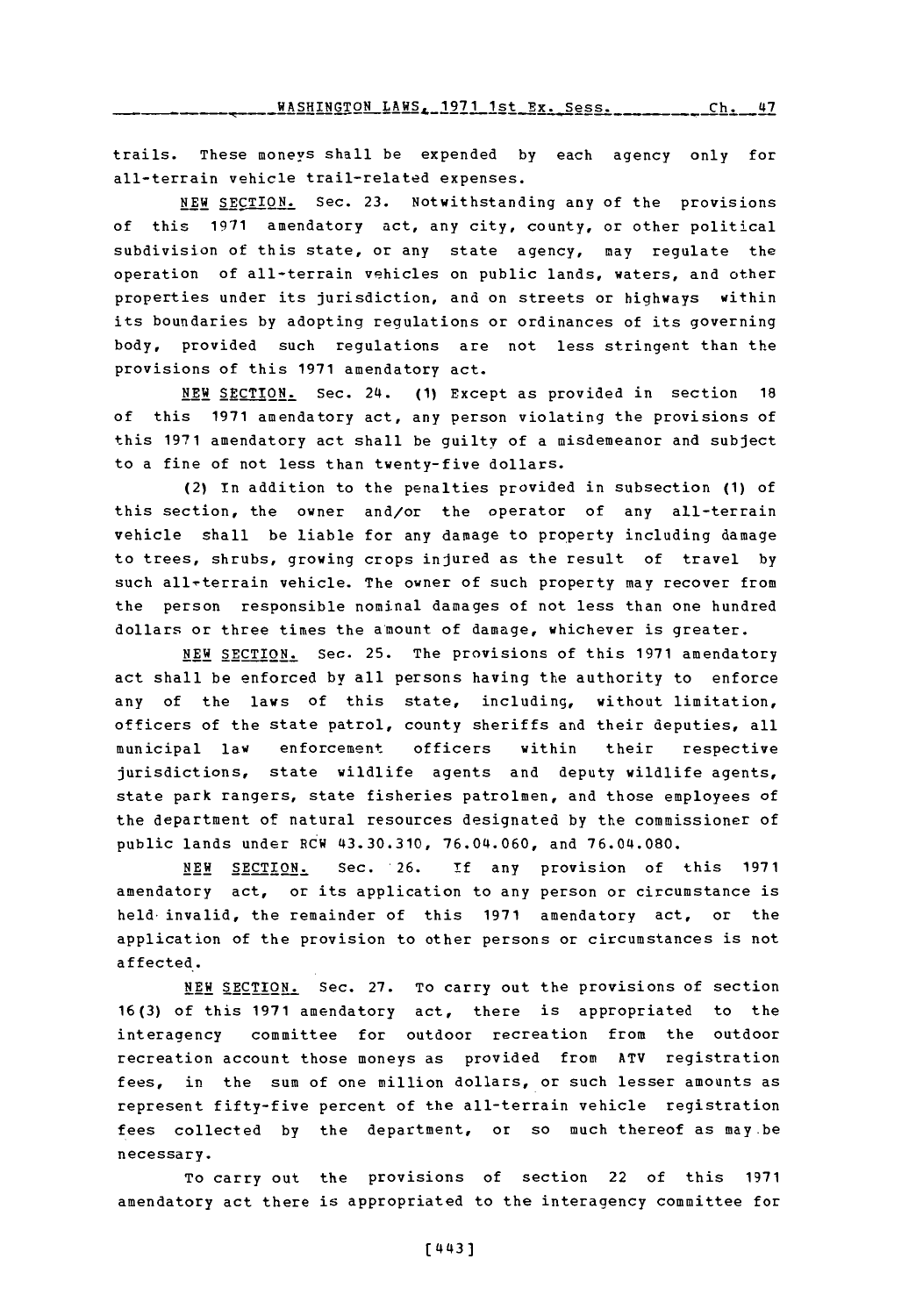trails. These moneys shall be expended **by** each agency only for all-terrain vehicle trail-related expenses.

**NEW SECTION.** Sec. **23.** Notwithstanding any of the provisions of this **1971** amendatory act, any city, county, or other political subdivision of this state, or any state agency, may regulate the operation of all-terrain vehicles on public lands, waters, and other properties under its jurisdiction, and on streets or highways within its boundaries **by** adopting regulations or ordinances of its governing body, provided such regulations are not less stringent than the provisions of this **1971** amendatory act.

**NEW SECTION.** Sec. 24. **(1)** Except as provided in section **18** of this **1971** amendatory act, any person violating the provisions of this **1971** amendatory act shall be guilty of a misdemeanor and subject to a fine of not less than twenty-five dollars.

(2) In addition to the penalties provided in subsection **(1)** of this section, the owner and/or the operator of any all-terrain vehicle shall be liable for any damage to property including damage to trees, shrubs, growing crops injured as the result of travel **by** such all-terrain vehicle. The owner of such property may recover from the person responsible nominal damages of not less than one hundred dollars or three times the a'mount of damage, whichever is greater.

**NEW SECTION.** Sec. **25.** The provisions of this **1971** amendatory act shall be enforced by all persons having the authority to enforce any of the laws of this state, including, without limitation, officers of the state patrol, county sheriffs and their deputies, all municipal law enforcement officers within their respective jurisdictions, state wildlife agents and deputy wildlife agents, state park rangers, state fisheries patrolmen, and those employees of the department of natural resources designated **by** the commissioner of public lands under RCW 43.30.310, **76.04.060,** and **76.04.080.**

**NEW SECTION.** Sec. **26. if** any provision of this **1971** amendatory act, or its application to any person or circumstance is held-invalid, the remainder of this **1971** amendatory act, or the application of the provision to other persons or circumstances is not affected.

**NEW** SECTION. Sec. **27.** To carry out the provisions of section **16(3)** of this **1971** amendatory act, there is appropriated to the interagency committee for outdoor recreation from the outdoor recreation account those moneys as provided from ATV registration fees, in the sum of one million dollars, or such lesser amounts as represent fifty-five percent of the all-terrain vehicle registration fees collected **by** the department, or so much thereof as may-be necessary.

To carry out the provisions of section 22 of this **<sup>1971</sup>** amendatory act there is appropriated to the interagency committee for